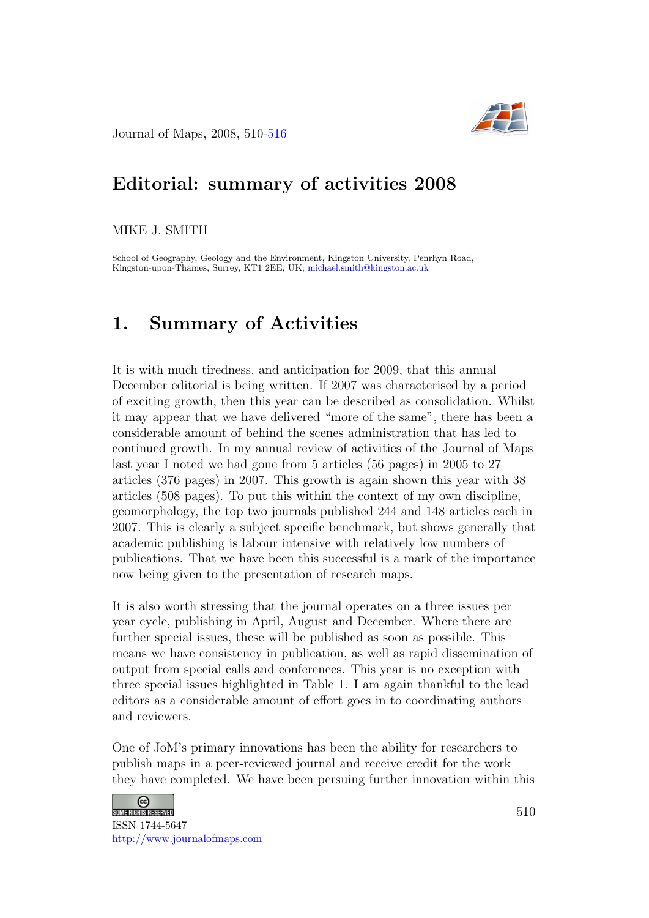

# Editorial: summary of activities 2008

MIKE J. SMITH

School of Geography, Geology and the Environment, Kingston University, Penrhyn Road, Kingston-upon-Thames, Surrey, KT1 2EE, UK; [michael.smith@kingston.ac.uk](mailto:michael.smith@kingston.ac.uk)

### 1. Summary of Activities

It is with much tiredness, and anticipation for 2009, that this annual December editorial is being written. If 2007 was characterised by a period of exciting growth, then this year can be described as consolidation. Whilst it may appear that we have delivered "more of the same", there has been a considerable amount of behind the scenes administration that has led to continued growth. In my annual review of activities of the Journal of Maps last year I noted we had gone from 5 articles (56 pages) in 2005 to 27 articles (376 pages) in 2007. This growth is again shown this year with 38 articles (508 pages). To put this within the context of my own discipline, geomorphology, the top two journals published 244 and 148 articles each in 2007. This is clearly a subject specific benchmark, but shows generally that academic publishing is labour intensive with relatively low numbers of publications. That we have been this successful is a mark of the importance now being given to the presentation of research maps.

It is also worth stressing that the journal operates on a three issues per year cycle, publishing in April, August and December. Where there are further special issues, these will be published as soon as possible. This means we have consistency in publication, as well as rapid dissemination of output from special calls and conferences. This year is no exception with three special issues highlighted in Table 1. I am again thankful to the lead editors as a considerable amount of effort goes in to coordinating authors and reviewers.

One of JoM's primary innovations has been the ability for researchers to publish maps in a peer-reviewed journal and receive credit for the work they have completed. We have been persuing further innovation within this



ISSN 1744-5647 <http://www.journalofmaps.com>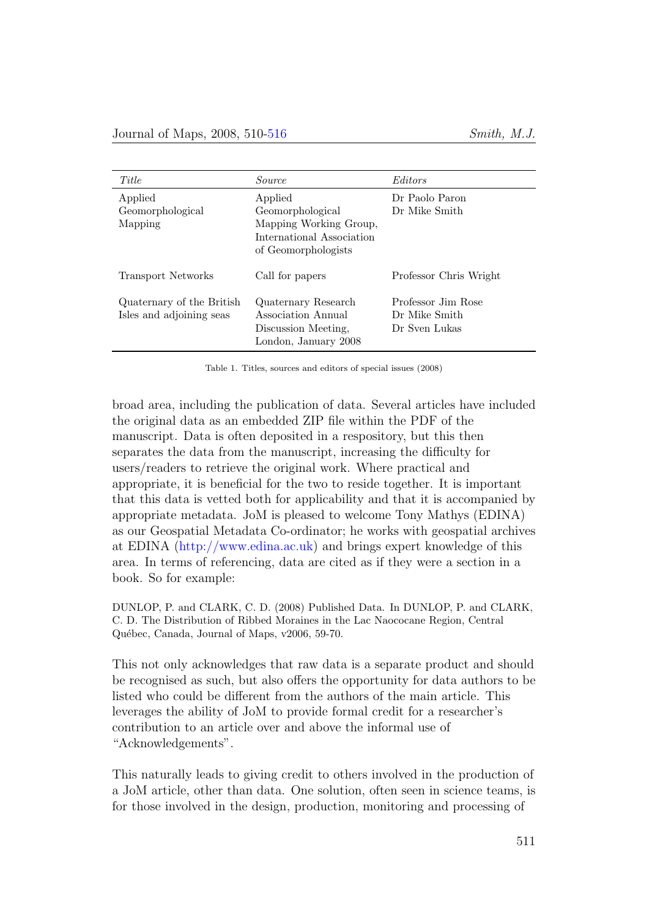| Title                                                 | Source                                                                                                    | Editors                                              |
|-------------------------------------------------------|-----------------------------------------------------------------------------------------------------------|------------------------------------------------------|
| Applied<br>Geomorphological<br>Mapping                | Applied<br>Geomorphological<br>Mapping Working Group,<br>International Association<br>of Geomorphologists | Dr Paolo Paron<br>Dr Mike Smith                      |
| <b>Transport Networks</b>                             | Call for papers                                                                                           | Professor Chris Wright                               |
| Quaternary of the British<br>Isles and adjoining seas | Quaternary Research<br>Association Annual<br>Discussion Meeting.<br>London, January 2008                  | Professor Jim Rose<br>Dr Mike Smith<br>Dr Sven Lukas |

Table 1. Titles, sources and editors of special issues (2008)

broad area, including the publication of data. Several articles have included the original data as an embedded ZIP file within the PDF of the manuscript. Data is often deposited in a respository, but this then separates the data from the manuscript, increasing the difficulty for users/readers to retrieve the original work. Where practical and appropriate, it is beneficial for the two to reside together. It is important that this data is vetted both for applicability and that it is accompanied by appropriate metadata. JoM is pleased to welcome Tony Mathys (EDINA) as our Geospatial Metadata Co-ordinator; he works with geospatial archives at EDINA [\(http://www.edina.ac.uk\)](http://www.edina.ac.uk) and brings expert knowledge of this area. In terms of referencing, data are cited as if they were a section in a book. So for example:

DUNLOP, P. and CLARK, C. D. (2008) Published Data. In DUNLOP, P. and CLARK, C. D. The Distribution of Ribbed Moraines in the Lac Naococane Region, Central Qu´ebec, Canada, Journal of Maps, v2006, 59-70.

This not only acknowledges that raw data is a separate product and should be recognised as such, but also offers the opportunity for data authors to be listed who could be different from the authors of the main article. This leverages the ability of JoM to provide formal credit for a researcher's contribution to an article over and above the informal use of "Acknowledgements".

This naturally leads to giving credit to others involved in the production of a JoM article, other than data. One solution, often seen in science teams, is for those involved in the design, production, monitoring and processing of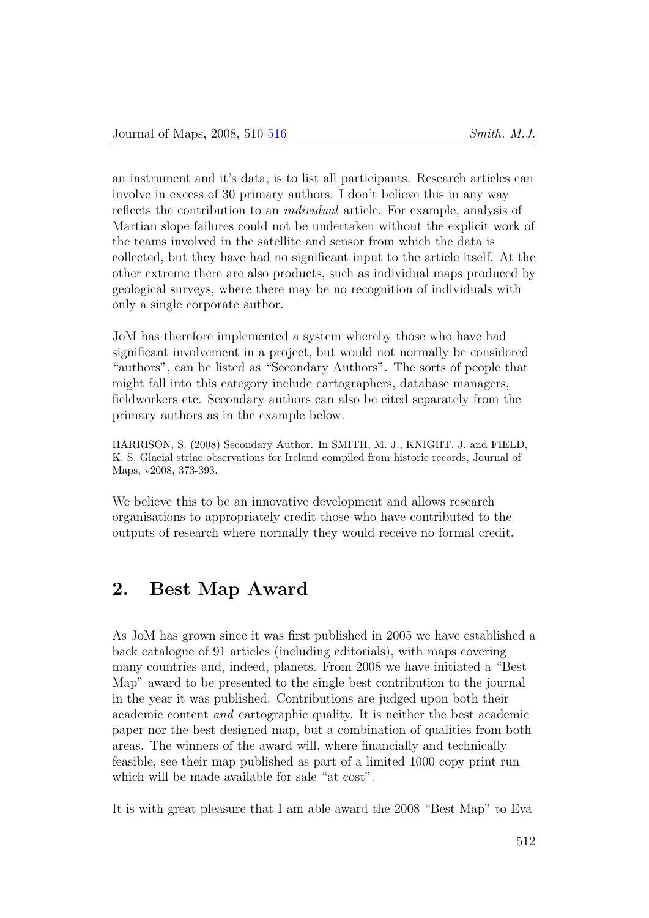an instrument and it's data, is to list all participants. Research articles can involve in excess of 30 primary authors. I don't believe this in any way reflects the contribution to an individual article. For example, analysis of Martian slope failures could not be undertaken without the explicit work of the teams involved in the satellite and sensor from which the data is collected, but they have had no significant input to the article itself. At the other extreme there are also products, such as individual maps produced by geological surveys, where there may be no recognition of individuals with only a single corporate author.

JoM has therefore implemented a system whereby those who have had significant involvement in a project, but would not normally be considered "authors", can be listed as "Secondary Authors". The sorts of people that might fall into this category include cartographers, database managers, fieldworkers etc. Secondary authors can also be cited separately from the primary authors as in the example below.

HARRISON, S. (2008) Secondary Author. In SMITH, M. J., KNIGHT, J. and FIELD, K. S. Glacial striae observations for Ireland compiled from historic records, Journal of Maps, v2008, 373-393.

We believe this to be an innovative development and allows research organisations to appropriately credit those who have contributed to the outputs of research where normally they would receive no formal credit.

### 2. Best Map Award

As JoM has grown since it was first published in 2005 we have established a back catalogue of 91 articles (including editorials), with maps covering many countries and, indeed, planets. From 2008 we have initiated a "Best Map" award to be presented to the single best contribution to the journal in the year it was published. Contributions are judged upon both their academic content and cartographic quality. It is neither the best academic paper nor the best designed map, but a combination of qualities from both areas. The winners of the award will, where financially and technically feasible, see their map published as part of a limited 1000 copy print run which will be made available for sale "at cost".

It is with great pleasure that I am able award the 2008 "Best Map" to Eva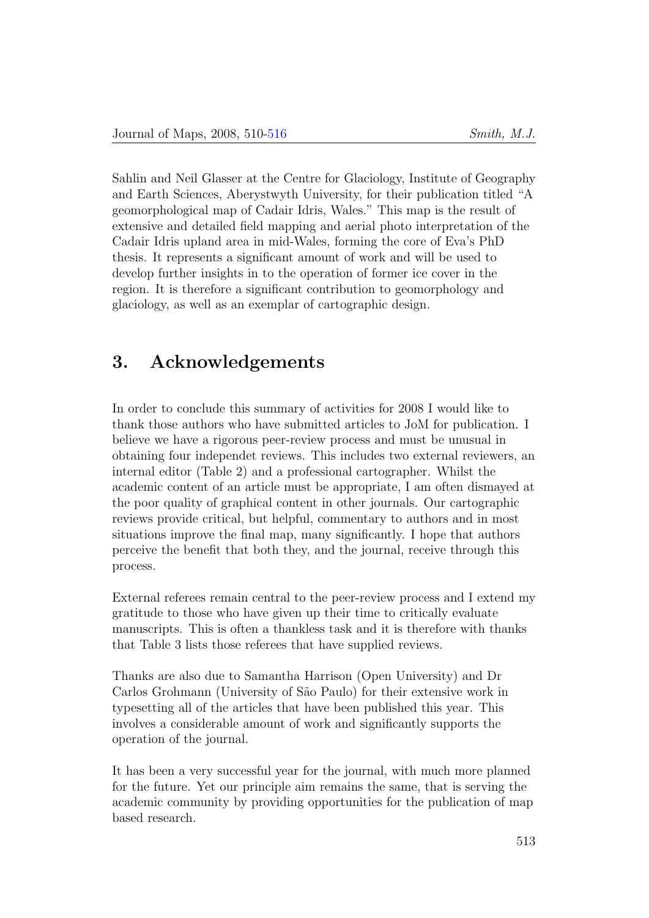Sahlin and Neil Glasser at the Centre for Glaciology, Institute of Geography and Earth Sciences, Aberystwyth University, for their publication titled "A geomorphological map of Cadair Idris, Wales." This map is the result of extensive and detailed field mapping and aerial photo interpretation of the Cadair Idris upland area in mid-Wales, forming the core of Eva's PhD thesis. It represents a significant amount of work and will be used to develop further insights in to the operation of former ice cover in the region. It is therefore a significant contribution to geomorphology and glaciology, as well as an exemplar of cartographic design.

## 3. Acknowledgements

In order to conclude this summary of activities for 2008 I would like to thank those authors who have submitted articles to JoM for publication. I believe we have a rigorous peer-review process and must be unusual in obtaining four independet reviews. This includes two external reviewers, an internal editor (Table 2) and a professional cartographer. Whilst the academic content of an article must be appropriate, I am often dismayed at the poor quality of graphical content in other journals. Our cartographic reviews provide critical, but helpful, commentary to authors and in most situations improve the final map, many significantly. I hope that authors perceive the benefit that both they, and the journal, receive through this process.

External referees remain central to the peer-review process and I extend my gratitude to those who have given up their time to critically evaluate manuscripts. This is often a thankless task and it is therefore with thanks that Table 3 lists those referees that have supplied reviews.

Thanks are also due to Samantha Harrison (Open University) and Dr Carlos Grohmann (University of São Paulo) for their extensive work in typesetting all of the articles that have been published this year. This involves a considerable amount of work and significantly supports the operation of the journal.

It has been a very successful year for the journal, with much more planned for the future. Yet our principle aim remains the same, that is serving the academic community by providing opportunities for the publication of map based research.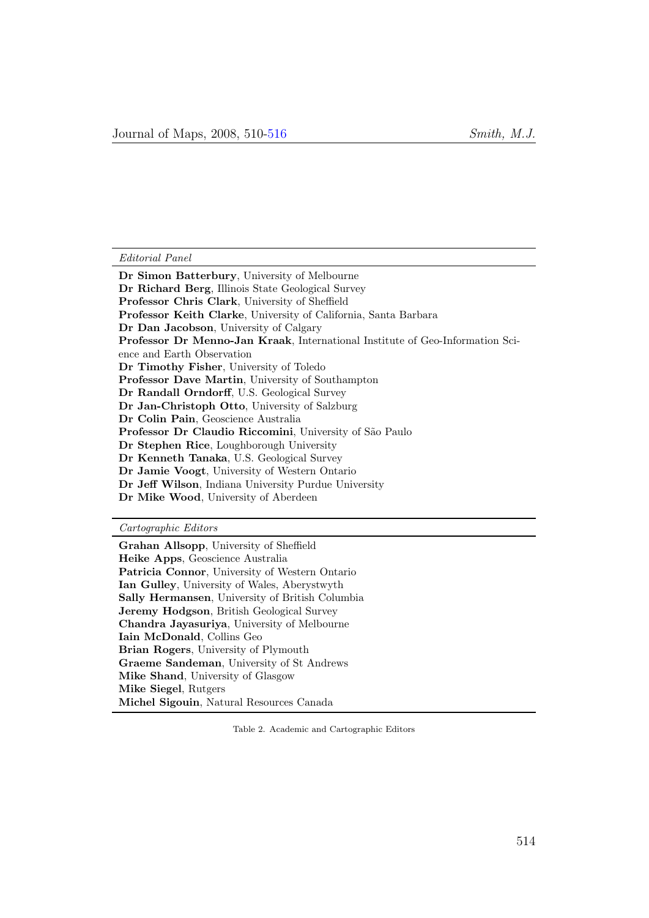#### Editorial Panel

Dr Simon Batterbury, University of Melbourne Dr Richard Berg, Illinois State Geological Survey Professor Chris Clark, University of Sheffield Professor Keith Clarke, University of California, Santa Barbara Dr Dan Jacobson, University of Calgary Professor Dr Menno-Jan Kraak, International Institute of Geo-Information Science and Earth Observation Dr Timothy Fisher, University of Toledo Professor Dave Martin, University of Southampton Dr Randall Orndorff, U.S. Geological Survey Dr Jan-Christoph Otto, University of Salzburg Dr Colin Pain, Geoscience Australia Professor Dr Claudio Riccomini, University of São Paulo Dr Stephen Rice, Loughborough University Dr Kenneth Tanaka, U.S. Geological Survey Dr Jamie Voogt, University of Western Ontario Dr Jeff Wilson, Indiana University Purdue University Dr Mike Wood, University of Aberdeen

#### Cartographic Editors

Grahan Allsopp, University of Sheffield Heike Apps, Geoscience Australia Patricia Connor, University of Western Ontario Ian Gulley, University of Wales, Aberystwyth Sally Hermansen, University of British Columbia Jeremy Hodgson, British Geological Survey Chandra Jayasuriya, University of Melbourne Iain McDonald, Collins Geo Brian Rogers, University of Plymouth Graeme Sandeman, University of St Andrews Mike Shand, University of Glasgow Mike Siegel, Rutgers Michel Sigouin, Natural Resources Canada

Table 2. Academic and Cartographic Editors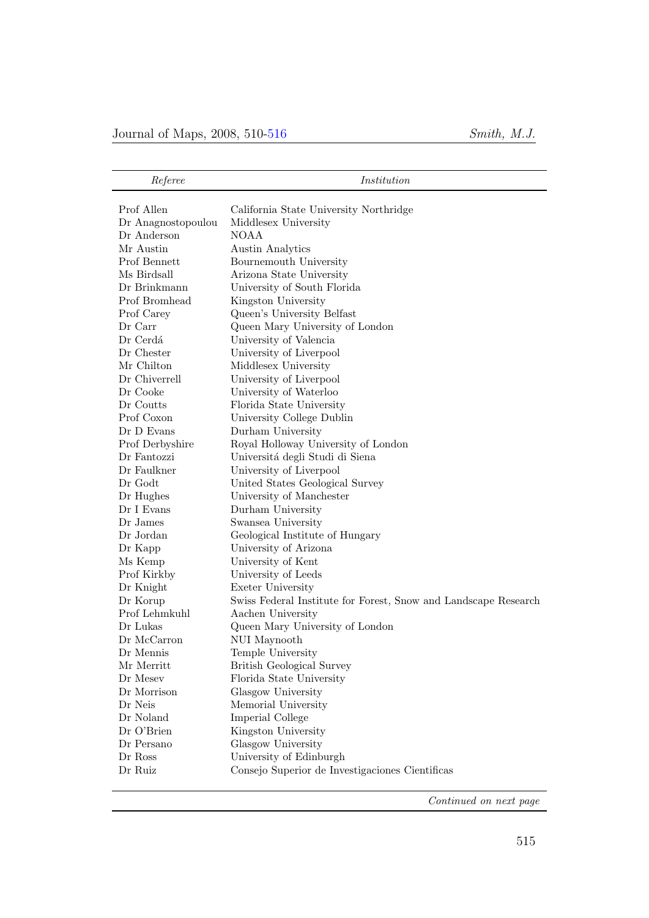Journal of Maps,  $2008$ ,  $510-516$  $510-516$  Smith, M.J.

| Referee            | Institution                                                     |
|--------------------|-----------------------------------------------------------------|
| Prof Allen         |                                                                 |
| Dr Anagnostopoulou | California State University Northridge<br>Middlesex University  |
| Dr Anderson        | NOAA                                                            |
| Mr Austin          | <b>Austin Analytics</b>                                         |
| Prof Bennett       | Bournemouth University                                          |
| Ms Birdsall        | Arizona State University                                        |
| Dr Brinkmann       | University of South Florida                                     |
| Prof Bromhead      | Kingston University                                             |
| Prof Carey         | Queen's University Belfast                                      |
| Dr Carr            | Queen Mary University of London                                 |
| Dr Cerdá           | University of Valencia                                          |
| Dr Chester         | University of Liverpool                                         |
| Mr Chilton         | Middlesex University                                            |
| Dr Chiverrell      | University of Liverpool                                         |
| Dr Cooke           | University of Waterloo                                          |
| Dr Coutts          | Florida State University                                        |
| Prof Coxon         | University College Dublin                                       |
| Dr D Evans         | Durham University                                               |
| Prof Derbyshire    | Royal Holloway University of London                             |
| Dr Fantozzi        | Universitá degli Studi di Siena                                 |
| Dr Faulkner        | University of Liverpool                                         |
| Dr Godt            | United States Geological Survey                                 |
| Dr Hughes          | University of Manchester                                        |
| Dr I Evans         | Durham University                                               |
| Dr James           | Swansea University                                              |
| Dr Jordan          | Geological Institute of Hungary                                 |
| Dr Kapp            | University of Arizona                                           |
| Ms Kemp            | University of Kent                                              |
| Prof Kirkby        | University of Leeds                                             |
| Dr Knight          | Exeter University                                               |
| Dr Korup           | Swiss Federal Institute for Forest, Snow and Landscape Research |
| Prof Lehmkuhl      | Aachen University                                               |
| Dr Lukas           | Queen Mary University of London                                 |
| Dr McCarron        | NUI Maynooth                                                    |
| Dr Mennis          | Temple University                                               |
| Mr Merritt         | <b>British Geological Survey</b>                                |
| Dr Mesev           | Florida State University                                        |
| Dr Morrison        | Glasgow University                                              |
| Dr Neis            | Memorial University                                             |
| Dr Noland          | Imperial College                                                |
| Dr O'Brien         | Kingston University                                             |
| Dr Persano         | Glasgow University                                              |
| Dr Ross            | University of Edinburgh                                         |
| Dr Ruiz            | Consejo Superior de Investigaciones Científicas                 |

Continued on next page